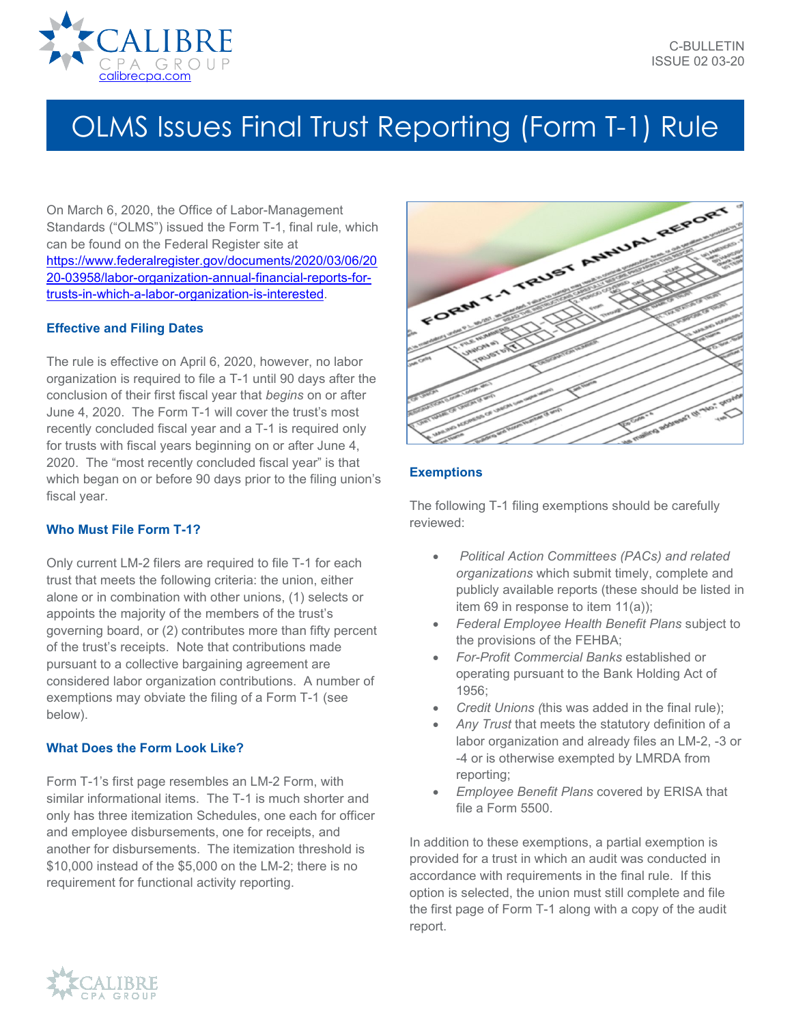

# OLMS Issues Final Trust Reporting (Form T-1) Rule

On March 6, 2020, the Office of Labor-Management Standards ("OLMS") issued the Form T-1, final rule, which can be found on the Federal Register site at [https://www.federalregister.gov/documents/2020/03/06/20](https://www.federalregister.gov/documents/2020/03/06/2020-03958/labor-organization-annual-financial-reports-for-trusts-in-which-a-labor-organization-is-interested) [20-03958/labor-organization-annual-financial-reports-for](https://www.federalregister.gov/documents/2020/03/06/2020-03958/labor-organization-annual-financial-reports-for-trusts-in-which-a-labor-organization-is-interested)[trusts-in-which-a-labor-organization-is-interested.](https://www.federalregister.gov/documents/2020/03/06/2020-03958/labor-organization-annual-financial-reports-for-trusts-in-which-a-labor-organization-is-interested)

## **Effective and Filing Dates**

The rule is effective on April 6, 2020, however, no labor organization is required to file a T-1 until 90 days after the conclusion of their first fiscal year that *begins* on or after June 4, 2020. The Form T-1 will cover the trust's most recently concluded fiscal year and a T-1 is required only for trusts with fiscal years beginning on or after June 4, 2020. The "most recently concluded fiscal year" is that which began on or before 90 days prior to the filing union's fiscal year.

## **Who Must File Form T-1?**

Only current LM-2 filers are required to file T-1 for each trust that meets the following criteria: the union, either alone or in combination with other unions, (1) selects or appoints the majority of the members of the trust's governing board, or (2) contributes more than fifty percent of the trust's receipts. Note that contributions made pursuant to a collective bargaining agreement are considered labor organization contributions. A number of exemptions may obviate the filing of a Form T-1 (see below).

#### **What Does the Form Look Like?**

Form T-1's first page resembles an LM-2 Form, with similar informational items. The T-1 is much shorter and only has three itemization Schedules, one each for officer and employee disbursements, one for receipts, and another for disbursements. The itemization threshold is \$10,000 instead of the \$5,000 on the LM-2; there is no requirement for functional activity reporting.



## **Exemptions**

The following T-1 filing exemptions should be carefully reviewed:

- *Political Action Committees (PACs) and related organizations* which submit timely, complete and publicly available reports (these should be listed in item 69 in response to item 11(a));
- *Federal Employee Health Benefit Plans* subject to the provisions of the FEHBA;
- *For-Profit Commercial Banks* established or operating pursuant to the Bank Holding Act of 1956;
- *Credit Unions (*this was added in the final rule);
- *Any Trust* that meets the statutory definition of a labor organization and already files an LM-2, -3 or -4 or is otherwise exempted by LMRDA from reporting;
- *Employee Benefit Plans* covered by ERISA that file a Form 5500.

In addition to these exemptions, a partial exemption is provided for a trust in which an audit was conducted in accordance with requirements in the final rule. If this option is selected, the union must still complete and file the first page of Form T-1 along with a copy of the audit report.